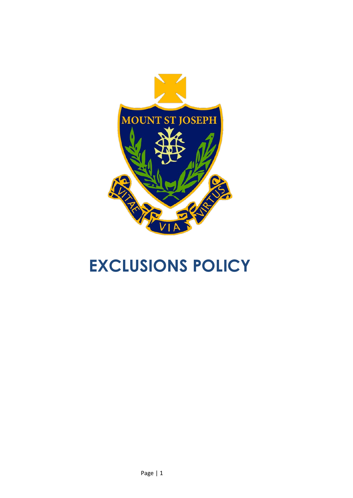

# **EXCLUSIONS POLICY**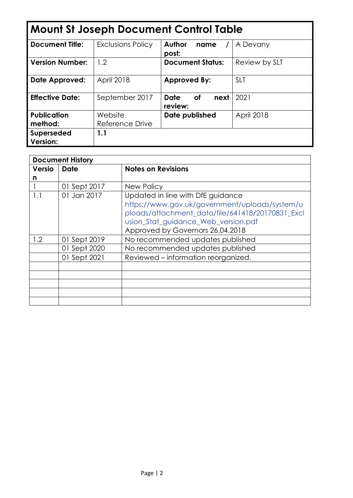| <b>Mount St Joseph Document Control Table</b> |                          |                                             |               |  |
|-----------------------------------------------|--------------------------|---------------------------------------------|---------------|--|
| <b>Document Title:</b>                        | <b>Exclusions Policy</b> | <b>Author</b><br>name<br>post:              | A Devany      |  |
| <b>Version Number:</b>                        | 1.2                      | <b>Document Status:</b>                     | Review by SLT |  |
| <b>Date Approved:</b>                         | <b>April 2018</b>        | <b>Approved By:</b>                         | <b>SLT</b>    |  |
| <b>Effective Date:</b>                        | September 2017           | <b>Date</b><br><b>of</b><br>next<br>review: | 2021          |  |
| <b>Publication</b>                            | Website                  | Date published                              | April 2018    |  |
| method:                                       | Reference Drive          |                                             |               |  |
| Superseded<br><b>Version:</b>                 | 1.1                      |                                             |               |  |

| <b>Document History</b> |              |                                                  |  |
|-------------------------|--------------|--------------------------------------------------|--|
| Versio                  | <b>Date</b>  | <b>Notes on Revisions</b>                        |  |
| n                       |              |                                                  |  |
|                         | 01 Sept 2017 | <b>New Policy</b>                                |  |
| 1.1                     | 01 Jan 2017  | Updated in line with DfE guidance                |  |
|                         |              | https://www.gov.uk/government/uploads/system/u   |  |
|                         |              | ploads/attachment_data/file/641418/20170831_Excl |  |
|                         |              | usion_Stat_guidance_Web_version.pdf              |  |
|                         |              | Approved by Governors 26.04.2018                 |  |
| 1.2                     | 01 Sept 2019 | No recommended updates published                 |  |
|                         | 01 Sept 2020 | No recommended updates published                 |  |
|                         | 01 Sept 2021 | Reviewed – information reorganized.              |  |
|                         |              |                                                  |  |
|                         |              |                                                  |  |
|                         |              |                                                  |  |
|                         |              |                                                  |  |
|                         |              |                                                  |  |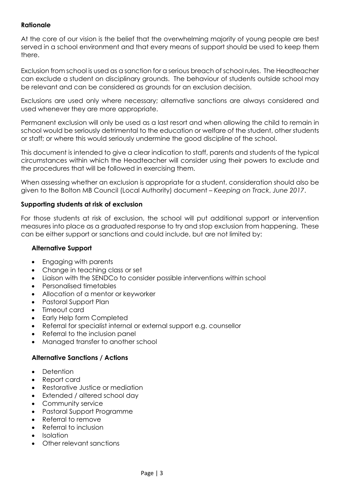# **Rationale**

At the core of our vision is the belief that the overwhelming majority of young people are best served in a school environment and that every means of support should be used to keep them there.

Exclusion from school is used as a sanction for a serious breach of school rules. The Headteacher can exclude a student on disciplinary grounds. The behaviour of students outside school may be relevant and can be considered as grounds for an exclusion decision.

Exclusions are used only where necessary; alternative sanctions are always considered and used whenever they are more appropriate.

Permanent exclusion will only be used as a last resort and when allowing the child to remain in school would be seriously detrimental to the education or welfare of the student, other students or staff; or where this would seriously undermine the good discipline of the school.

This document is intended to give a clear indication to staff, parents and students of the typical circumstances within which the Headteacher will consider using their powers to exclude and the procedures that will be followed in exercising them.

When assessing whether an exclusion is appropriate for a student, consideration should also be given to the Bolton MB Council (Local Authority) document – *Keeping on Track*, *June 2017*.

# **Supporting students at risk of exclusion**

For those students at risk of exclusion, the school will put additional support or intervention measures into place as a graduated response to try and stop exclusion from happening. These can be either support or sanctions and could include, but are not limited by:

# **Alternative Support**

- Engaging with parents
- Change in teaching class or set
- Liaison with the SENDCo to consider possible interventions within school
- Personalised timetables
- Allocation of a mentor or keyworker
- Pastoral Support Plan
- Timeout card
- Early Help form Completed
- Referral for specialist internal or external support e.g. counsellor
- Referral to the inclusion panel
- Managed transfer to another school

# **Alternative Sanctions / Actions**

- Detention
- Report card
- Restorative Justice or mediation
- Extended / altered school day
- Community service
- Pastoral Support Programme
- Referral to remove
- Referral to inclusion
- Isolation
- Other relevant sanctions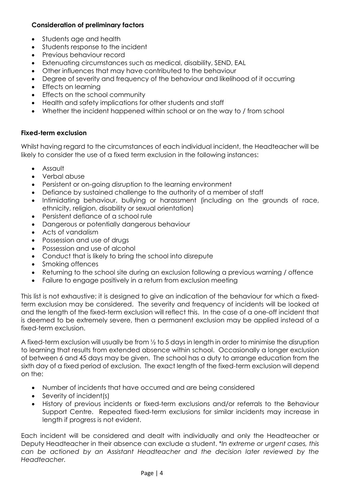# **Consideration of preliminary factors**

- Students age and health
- Students response to the incident
- Previous behaviour record
- Extenuating circumstances such as medical, disability, SEND, EAL
- Other influences that may have contributed to the behaviour
- Degree of severity and frequency of the behaviour and likelihood of it occurring
- Effects on learning
- Effects on the school community
- Health and safety implications for other students and staff
- Whether the incident happened within school or on the way to / from school

# **Fixed-term exclusion**

Whilst having regard to the circumstances of each individual incident, the Headteacher will be likely to consider the use of a fixed term exclusion in the following instances:

- Assault
- Verbal abuse
- Persistent or on-going disruption to the learning environment
- Defiance by sustained challenge to the authority of a member of staff
- Intimidating behaviour, bullying or harassment (including on the grounds of race, ethnicity, religion, disability or sexual orientation)
- Persistent defiance of a school rule
- Dangerous or potentially dangerous behaviour
- Acts of vandalism
- Possession and use of drugs
- Possession and use of alcohol
- Conduct that is likely to bring the school into disrepute
- Smoking offences
- Returning to the school site during an exclusion following a previous warning / offence
- Failure to engage positively in a return from exclusion meeting

This list is not exhaustive; it is designed to give an indication of the behaviour for which a fixedterm exclusion may be considered. The severity and frequency of incidents will be looked at and the length of the fixed-term exclusion will reflect this. In the case of a one-off incident that is deemed to be extremely severe, then a permanent exclusion may be applied instead of a fixed-term exclusion.

A fixed-term exclusion will usually be from ½ to 5 days in length in order to minimise the disruption to learning that results from extended absence within school. Occasionally a longer exclusion of between 6 and 45 days may be given. The school has a duty to arrange education from the sixth day of a fixed period of exclusion. The exact length of the fixed-term exclusion will depend on the:

- Number of incidents that have occurred and are being considered
- Severity of incident(s)
- History of previous incidents or fixed-term exclusions and/or referrals to the Behaviour Support Centre. Repeated fixed-term exclusions for similar incidents may increase in length if progress is not evident.

Each incident will be considered and dealt with individually and only the Headteacher or Deputy Headteacher in their absence can exclude a student. \**In extreme or urgent cases, this can be actioned by an Assistant Headteacher and the decision later reviewed by the Headteacher.*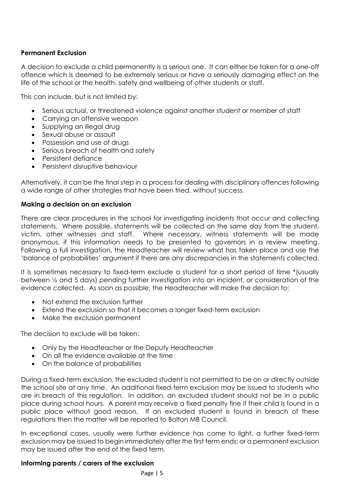# **Permanent Exclusion**

A decision to exclude a child permanently is a serious one. It can either be taken for a one-off offence which is deemed to be extremely serious or have a seriously damaging effect on the life of the school or the health, safety and wellbeing of other students or staff.

This can include, but is not limited by:

- Serious actual, or threatened violence against another student or member of staff
- Carrying an offensive weapon
- Supplying an illegal drug
- Sexual abuse or assault
- Possession and use of drugs
- Serious breach of health and safety
- Persistent defiance
- Persistent disruptive behaviour

Alternatively, it can be the final step in a process for dealing with disciplinary offences following a wide range of other strategies that have been tried, without success.

#### **Making a decision on an exclusion**

There are clear procedures in the school for investigating incidents that occur and collecting statements. Where possible, statements will be collected on the same day from the student, victim, other witnesses and staff. Where necessary, witness statements will be made anonymous, if this information needs to be presented to governors in a review meeting. Following a full investigation, the Headteacher will review what has taken place and use the 'balance of probabilities' argument if there are any discrepancies in the statements collected.

It is sometimes necessary to fixed-term exclude a student for a short period of time \*(usually between ½ and 5 days) pending further investigation into an incident, or consideration of the evidence collected. As soon as possible, the Headteacher will make the decision to:

- Not extend the exclusion further
- Extend the exclusion so that it becomes a longer fixed-term exclusion
- Make the exclusion permanent

The decision to exclude will be taken:

- Only by the Headteacher or the Deputy Headteacher
- On all the evidence available at the time
- On the balance of probabilities

During a fixed-term exclusion, the excluded student is not permitted to be on or directly outside the school site at any time. An additional fixed-term exclusion may be issued to students who are in breach of this regulation. In addition, an excluded student should not be in a public place during school hours. A parent may receive a fixed penalty fine if their child is found in a public place without good reason. If an excluded student is found in breach of these regulations then the matter will be reported to Bolton MB Council.

In exceptional cases, usually were further evidence has come to light, a further fixed-term exclusion may be issued to begin immediately after the first term ends; or a permanent exclusion may be issued after the end of the fixed term.

#### **Informing parents / carers of the exclusion**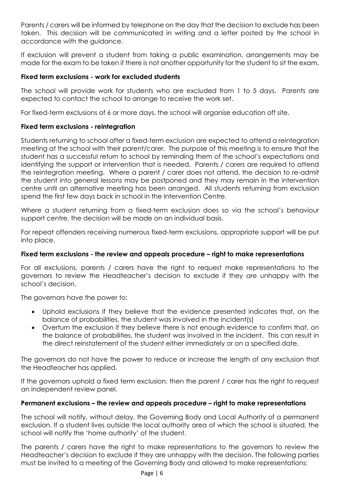Parents / carers will be informed by telephone on the day that the decision to exclude has been taken. This decision will be communicated in writing and a letter posted by the school in accordance with the guidance.

If exclusion will prevent a student from taking a public examination, arrangements may be made for the exam to be taken if there is not another opportunity for the student to sit the exam.

# **Fixed term exclusions - work for excluded students**

The school will provide work for students who are excluded from 1 to 5 days. Parents are expected to contact the school to arrange to receive the work set.

For fixed-term exclusions of 6 or more days, the school will organise education off site.

# **Fixed term exclusions - reintegration**

Students returning to school after a fixed-term exclusion are expected to attend a reintegration meeting at the school with their parent/carer. The purpose of this meeting is to ensure that the student has a successful return to school by reminding them of the school's expectations and identifying the support or intervention that is needed. Parents / carers are required to attend the reintegration meeting. Where a parent / carer does not attend, the decision to re-admit the student into general lessons may be postponed and they may remain in the intervention centre until an alternative meeting has been arranged. All students returning from exclusion spend the first few days back in school in the Intervention Centre.

Where a student returning from a fixed-term exclusion does so via the school's behaviour support centre, the decision will be made on an individual basis.

For repeat offenders receiving numerous fixed-term exclusions, appropriate support will be put into place.

# **Fixed term exclusions - the review and appeals procedure – right to make representations**

For all exclusions, parents / carers have the right to request make representations to the governors to review the Headteacher's decision to exclude if they are unhappy with the school's decision.

The governors have the power to:

- Uphold exclusions if they believe that the evidence presented indicates that, on the balance of probabilities, the student was involved in the incident(s)
- Overturn the exclusion if they believe there is not enough evidence to confirm that, on the balance of probabilities, the student was involved in the incident. This can result in the direct reinstatement of the student either immediately or on a specified date.

The governors do not have the power to reduce or increase the length of any exclusion that the Headteacher has applied.

If the governors uphold a fixed term exclusion, then the parent / carer has the right to request an independent review panel.

# **Permanent exclusions – the review and appeals procedure – right to make representations**

The school will notify, without delay, the Governing Body and Local Authority of a permanent exclusion. If a student lives outside the local authority area of which the school is situated, the school will notify the 'home authority' of the student.

The parents / carers have the right to make representations to the governors to review the Headteacher's decision to exclude if they are unhappy with the decision. The following parties must be invited to a meeting of the Governing Body and allowed to make representations: